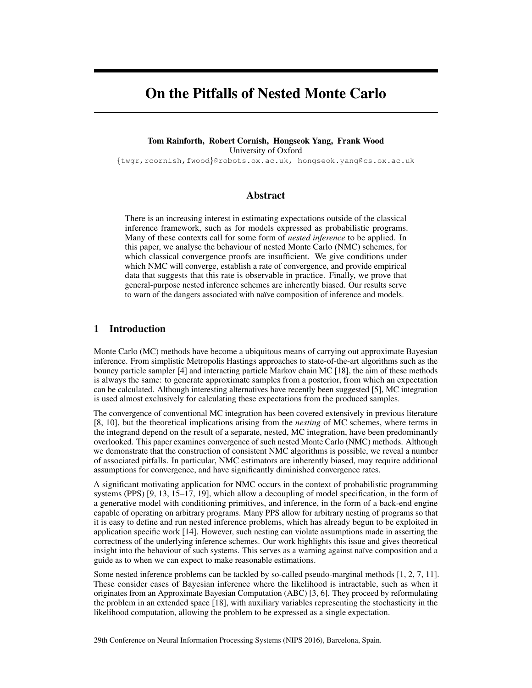# On the Pitfalls of Nested Monte Carlo

#### Tom Rainforth, Robert Cornish, Hongseok Yang, Frank Wood University of Oxford

{twgr,rcornish,fwood}@robots.ox.ac.uk, hongseok.yang@cs.ox.ac.uk

## Abstract

There is an increasing interest in estimating expectations outside of the classical inference framework, such as for models expressed as probabilistic programs. Many of these contexts call for some form of *nested inference* to be applied. In this paper, we analyse the behaviour of nested Monte Carlo (NMC) schemes, for which classical convergence proofs are insufficient. We give conditions under which NMC will converge, establish a rate of convergence, and provide empirical data that suggests that this rate is observable in practice. Finally, we prove that general-purpose nested inference schemes are inherently biased. Our results serve to warn of the dangers associated with naïve composition of inference and models.

# 1 Introduction

Monte Carlo (MC) methods have become a ubiquitous means of carrying out approximate Bayesian inference. From simplistic Metropolis Hastings approaches to state-of-the-art algorithms such as the bouncy particle sampler [4] and interacting particle Markov chain MC [18], the aim of these methods is always the same: to generate approximate samples from a posterior, from which an expectation can be calculated. Although interesting alternatives have recently been suggested [5], MC integration is used almost exclusively for calculating these expectations from the produced samples.

The convergence of conventional MC integration has been covered extensively in previous literature [8, 10], but the theoretical implications arising from the *nesting* of MC schemes, where terms in the integrand depend on the result of a separate, nested, MC integration, have been predominantly overlooked. This paper examines convergence of such nested Monte Carlo (NMC) methods. Although we demonstrate that the construction of consistent NMC algorithms is possible, we reveal a number of associated pitfalls. In particular, NMC estimators are inherently biased, may require additional assumptions for convergence, and have significantly diminished convergence rates.

A significant motivating application for NMC occurs in the context of probabilistic programming systems (PPS) [9, 13, 15–17, 19], which allow a decoupling of model specification, in the form of a generative model with conditioning primitives, and inference, in the form of a back-end engine capable of operating on arbitrary programs. Many PPS allow for arbitrary nesting of programs so that it is easy to define and run nested inference problems, which has already begun to be exploited in application specific work [14]. However, such nesting can violate assumptions made in asserting the correctness of the underlying inference schemes. Our work highlights this issue and gives theoretical insight into the behaviour of such systems. This serves as a warning against naïve composition and a guide as to when we can expect to make reasonable estimations.

Some nested inference problems can be tackled by so-called pseudo-marginal methods [1, 2, 7, 11]. These consider cases of Bayesian inference where the likelihood is intractable, such as when it originates from an Approximate Bayesian Computation (ABC) [3, 6]. They proceed by reformulating the problem in an extended space [18], with auxiliary variables representing the stochasticity in the likelihood computation, allowing the problem to be expressed as a single expectation.

29th Conference on Neural Information Processing Systems (NIPS 2016), Barcelona, Spain.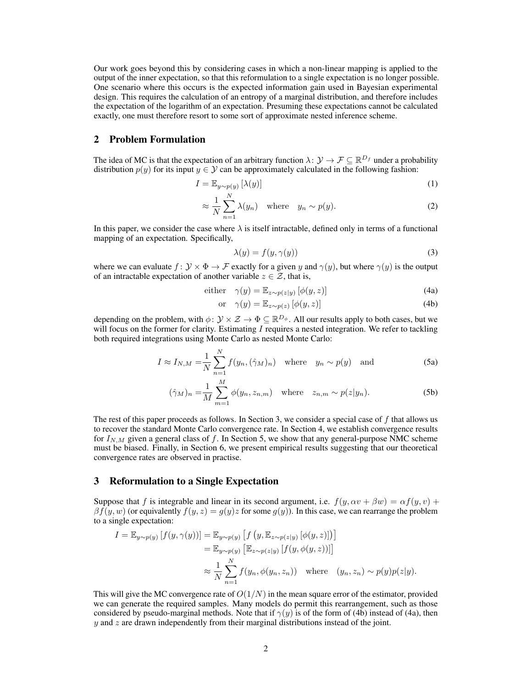Our work goes beyond this by considering cases in which a non-linear mapping is applied to the output of the inner expectation, so that this reformulation to a single expectation is no longer possible. One scenario where this occurs is the expected information gain used in Bayesian experimental design. This requires the calculation of an entropy of a marginal distribution, and therefore includes the expectation of the logarithm of an expectation. Presuming these expectations cannot be calculated exactly, one must therefore resort to some sort of approximate nested inference scheme.

## 2 Problem Formulation

The idea of MC is that the expectation of an arbitrary function  $\lambda: \mathcal{Y} \to \mathcal{F} \subseteq \mathbb{R}^{D_f}$  under a probability distribution  $p(y)$  for its input  $y \in Y$  can be approximately calculated in the following fashion:

$$
I = \mathbb{E}_{y \sim p(y)} \left[ \lambda(y) \right] \tag{1}
$$

$$
\approx \frac{1}{N} \sum_{n=1}^{N} \lambda(y_n) \quad \text{where} \quad y_n \sim p(y). \tag{2}
$$

In this paper, we consider the case where  $\lambda$  is itself intractable, defined only in terms of a functional mapping of an expectation. Specifically,

$$
\lambda(y) = f(y, \gamma(y))\tag{3}
$$

where we can evaluate  $f: \mathcal{Y} \times \Phi \to \mathcal{F}$  exactly for a given y and  $\gamma(y)$ , but where  $\gamma(y)$  is the output of an intractable expectation of another variable  $z \in \mathcal{Z}$ , that is,

either 
$$
\gamma(y) = \mathbb{E}_{z \sim p(z|y)} [\phi(y, z)]
$$
 (4a)

$$
\text{or} \quad \gamma(y) = \mathbb{E}_{z \sim p(z)} \left[ \phi(y, z) \right] \tag{4b}
$$

depending on the problem, with  $\phi\colon\mathcal{Y}\times\mathcal{Z}\to\Phi\subseteq\mathbb{R}^{D_\phi}.$  All our results apply to both cases, but we will focus on the former for clarity. Estimating  $I$  requires a nested integration. We refer to tackling both required integrations using Monte Carlo as nested Monte Carlo:

$$
I \approx I_{N,M} = \frac{1}{N} \sum_{n=1}^{N} f(y_n, (\hat{\gamma}_M)_n) \quad \text{where} \quad y_n \sim p(y) \quad \text{and} \tag{5a}
$$

$$
(\hat{\gamma}_M)_n = \frac{1}{M} \sum_{m=1}^M \phi(y_n, z_{n,m}) \quad \text{where} \quad z_{n,m} \sim p(z|y_n). \tag{5b}
$$

The rest of this paper proceeds as follows. In Section 3, we consider a special case of f that allows us to recover the standard Monte Carlo convergence rate. In Section 4, we establish convergence results for  $I_{N,M}$  given a general class of f. In Section 5, we show that any general-purpose NMC scheme must be biased. Finally, in Section 6, we present empirical results suggesting that our theoretical convergence rates are observed in practise.

#### 3 Reformulation to a Single Expectation

Suppose that f is integrable and linear in its second argument, i.e.  $f(y, \alpha v + \beta w) = \alpha f(y, v) +$  $\beta f(y, w)$  (or equivalently  $f(y, z) = g(y)z$  for some  $g(y)$ ). In this case, we can rearrange the problem to a single expectation:

$$
I = \mathbb{E}_{y \sim p(y)} [f(y, \gamma(y))] = \mathbb{E}_{y \sim p(y)} [f(y, \mathbb{E}_{z \sim p(z|y)} [\phi(y, z)])]
$$
  
\n
$$
= \mathbb{E}_{y \sim p(y)} [\mathbb{E}_{z \sim p(z|y)} [f(y, \phi(y, z))]]
$$
  
\n
$$
\approx \frac{1}{N} \sum_{n=1}^{N} f(y_n, \phi(y_n, z_n)) \text{ where } (y_n, z_n) \sim p(y)p(z|y).
$$

This will give the MC convergence rate of  $O(1/N)$  in the mean square error of the estimator, provided we can generate the required samples. Many models do permit this rearrangement, such as those considered by pseudo-marginal methods. Note that if  $\gamma(y)$  is of the form of (4b) instead of (4a), then  $y$  and  $z$  are drawn independently from their marginal distributions instead of the joint.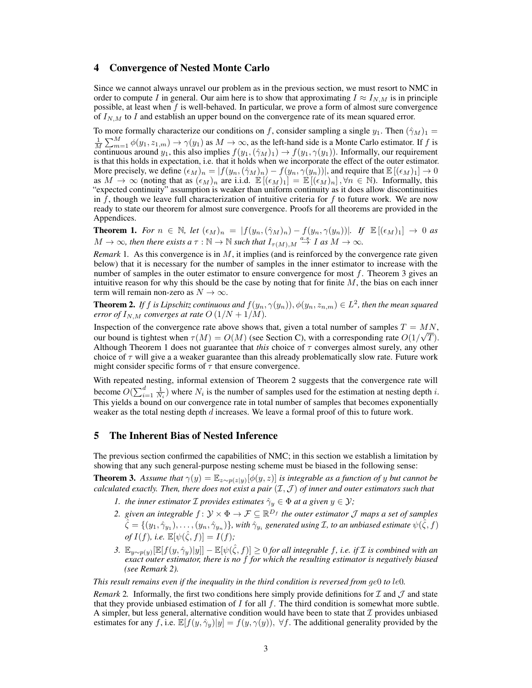#### 4 Convergence of Nested Monte Carlo

Since we cannot always unravel our problem as in the previous section, we must resort to NMC in order to compute I in general. Our aim here is to show that approximating  $I \approx I_{N,M}$  is in principle possible, at least when f is well-behaved. In particular, we prove a form of almost sure convergence of  $I_{N,M}$  to I and establish an upper bound on the convergence rate of its mean squared error.

To more formally characterize our conditions on f, consider sampling a single  $y_1$ . Then  $(\hat{\gamma}_M)_1$  =  $\frac{1}{M}\sum_{m=1}^{M} \phi(y_1, z_{1,m}) \rightarrow \gamma(y_1)$  as  $M \rightarrow \infty$ , as the left-hand side is a Monte Carlo estimator. If f is continuous around  $y_1$ , this also implies  $f(y_1,(\hat{\gamma}_M)_1) \to f(y_1, \gamma(y_1))$ . Informally, our requirement is that this holds in expectation, i.e. that it holds when we incorporate the effect of the outer estimator. More precisely, we define  $(\epsilon_M)_n = |f(y_n, (\hat{\gamma}_M)_n) - f(y_n, \gamma(y_n))|$ , and require that  $\mathbb{E}[(\epsilon_M)_1] \to 0$ as  $M \to \infty$  (noting that as  $(\epsilon_M)_n$  are i.i.d.  $\mathbb{E}[(\epsilon_M)_1] = \mathbb{E}[(\epsilon_M)_n]$ ,  $\forall n \in \mathbb{N}$ ). Informally, this "expected continuity" assumption is weaker than uniform continuity as it does allow discontinuities in f, though we leave full characterization of intuitive criteria for  $f$  to future work. We are now ready to state our theorem for almost sure convergence. Proofs for all theorems are provided in the Appendices.

**Theorem 1.** For  $n \in \mathbb{N}$ , let  $(\epsilon_M)_n = |f(y_n, (\hat{\gamma}_M)_n) - f(y_n, \gamma(y_n))|$ . If  $\mathbb{E}[(\epsilon_M)_1] \to 0$  as  $M \to \infty$ , then there exists a  $\tau : \mathbb{N} \to \mathbb{N}$  such that  $I_{\tau(M),M} \stackrel{a.s.}{\to} I$  as  $M \to \infty$ .

*Remark* 1. As this convergence is in M, it implies (and is reinforced by the convergence rate given below) that it is necessary for the number of samples in the inner estimator to increase with the number of samples in the outer estimator to ensure convergence for most  $f$ . Theorem 3 gives an intuitive reason for why this should be the case by noting that for finite  $M$ , the bias on each inner term will remain non-zero as  $N \to \infty$ .

**Theorem 2.** If f is Lipschitz continuous and  $f(y_n, \gamma(y_n)), \phi(y_n, z_{n,m}) \in L^2$ , then the mean squared *error of*  $I_{N,M}$  *converges at rate*  $O(1/N + 1/M)$ *.* 

Inspection of the convergence rate above shows that, given a total number of samples  $T = MN$ , our bound is tightest when  $\tau(M) = O(M)$  (see Section C), with a corresponding rate  $O(1/\sqrt{T})$ . Although Theorem 1 does not guarantee that *this* choice of  $\tau$  converges almost surely, any other choice of  $\tau$  will give a a weaker guarantee than this already problematically slow rate. Future work might consider specific forms of  $\tau$  that ensure convergence.

With repeated nesting, informal extension of Theorem 2 suggests that the convergence rate will become  $O(\sum_{i=1}^d \frac{1}{N_i})$  where  $N_i$  is the number of samples used for the estimation at nesting depth *i*. This yields a bound on our convergence rate in total number of samples that becomes exponentially weaker as the total nesting depth  $d$  increases. We leave a formal proof of this to future work.

## 5 The Inherent Bias of Nested Inference

The previous section confirmed the capabilities of NMC; in this section we establish a limitation by showing that any such general-purpose nesting scheme must be biased in the following sense:

**Theorem 3.** Assume that  $\gamma(y) = \mathbb{E}_{z \sim p(z|y)}[\phi(y, z)]$  is integrable as a function of y but cannot be *calculated exactly. Then, there does not exist a pair* (I,J ) *of inner and outer estimators such that*

- *1. the inner estimator*  $\mathcal I$  *provides estimates*  $\hat{\gamma}_y \in \Phi$  *at a given*  $y \in \mathcal Y$ *;*
- 2. given an integrable  $f: \mathcal{Y} \times \Phi \to \mathcal{F} \subseteq \mathbb{R}^{D_f}$  the outer estimator  $\mathcal J$  maps a set of samples  $\hat{\zeta}=\{(y_1,\hat{\gamma}_{y_1}),\ldots,(y_n,\hat{\gamma}_{y_n})\}$ , with  $\hat{\gamma}_{y_i}$  generated using  $\cal I$ , to an unbiased estimate  $\psi(\hat{\zeta},f)$ *of*  $I(f)$ *, i.e.*  $\mathbb{E}[\psi(\hat{\zeta}, f)] = I(f)$ *;*
- *3.*  $\mathbb{E}_{y \sim p(y)}[\mathbb{E}[f(y, \hat{\gamma}_y)|y]] \mathbb{E}[\psi(\hat{\zeta}, f)] \ge 0$  *for all integrable f, i.e. if I is combined with an exact outer estimator, there is no* f *for which the resulting estimator is negatively biased (see Remark 2).*

*This result remains even if the inequality in the third condition is reversed from* ge0 *to* le0*.*

*Remark* 2. Informally, the first two conditions here simply provide definitions for  $\mathcal I$  and  $\mathcal J$  and state that they provide unbiased estimation of  $I$  for all  $f$ . The third condition is somewhat more subtle. A simpler, but less general, alternative condition would have been to state that  $\mathcal I$  provides unbiased estimates for any f, i.e.  $\mathbb{E}[f(y, \hat{\gamma}_y)|y] = f(y, \gamma(y)), \forall f$ . The additional generality provided by the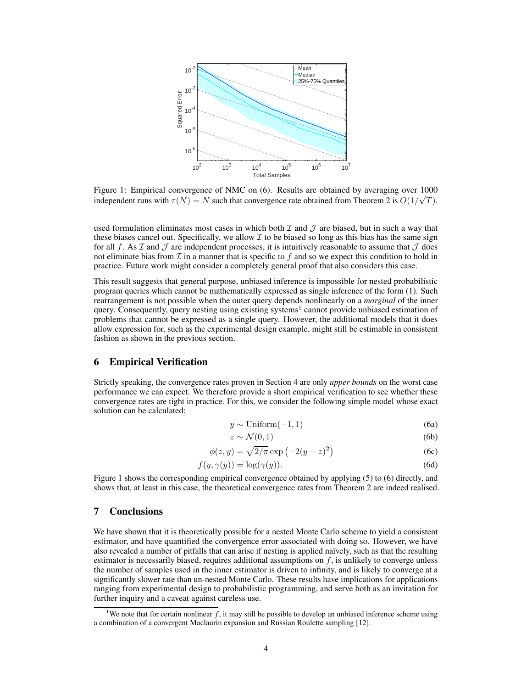

Figure 1: Empirical convergence of NMC on  $(6)$ . Results are obtained by averaging over  $1000$ independent runs with  $\tau(N) = N$  such that convergence rate obtained from Theorem 2 is  $O(1/\sqrt{T})$ .

used formulation eliminates most cases in which both  $\mathcal I$  and  $\mathcal J$  are biased, but in such a way that these biases cancel out. Specifically, we allow  $\mathcal I$  to be biased so long as this bias has the same sign for all f. As  $\mathcal I$  and  $\mathcal J$  are independent processes, it is intuitively reasonable to assume that  $\mathcal J$  does not eliminate bias from  $\mathcal I$  in a manner that is specific to f and so we expect this condition to hold in practice. Future work might consider a completely general proof that also considers this case.

This result suggests that general purpose, unbiased inference is impossible for nested probabilistic program queries which cannot be mathematically expressed as single inference of the form (1). Such rearrangement is not possible when the outer query depends nonlinearly on a *marginal* of the inner query. Consequently, query nesting using existing systems<sup>1</sup> cannot provide unbiased estimation of problems that cannot be expressed as a single query. However, the additional models that it does allow expression for, such as the experimental design example, might still be estimable in consistent fashion as shown in the previous section.

## 6 Empirical Verification

Strictly speaking, the convergence rates proven in Section 4 are only *upper bounds* on the worst case performance we can expect. We therefore provide a short empirical verification to see whether these convergence rates are tight in practice. For this, we consider the following simple model whose exact solution can be calculated:

$$
y \sim \text{Uniform}(-1, 1) \tag{6a}
$$

$$
z \sim \mathcal{N}(0, 1) \tag{6b}
$$

$$
\phi(z,y) = \sqrt{2/\pi} \exp\left(-2(y-z)^2\right) \tag{6c}
$$

$$
f(y, \gamma(y)) = \log(\gamma(y)).
$$
\n(6d)

Figure 1 shows the corresponding empirical convergence obtained by applying (5) to (6) directly, and shows that, at least in this case, the theoretical convergence rates from Theorem 2 are indeed realised.

#### 7 Conclusions

We have shown that it is theoretically possible for a nested Monte Carlo scheme to yield a consistent estimator, and have quantified the convergence error associated with doing so. However, we have also revealed a number of pitfalls that can arise if nesting is applied naïvely, such as that the resulting estimator is necessarily biased, requires additional assumptions on  $f$ , is unlikely to converge unless the number of samples used in the inner estimator is driven to infinity, and is likely to converge at a significantly slower rate than un-nested Monte Carlo. These results have implications for applications ranging from experimental design to probabilistic programming, and serve both as an invitation for further inquiry and a caveat against careless use.

<sup>&</sup>lt;sup>1</sup>We note that for certain nonlinear f, it may still be possible to develop an unbiased inference scheme using a combination of a convergent Maclaurin expansion and Russian Roulette sampling [12].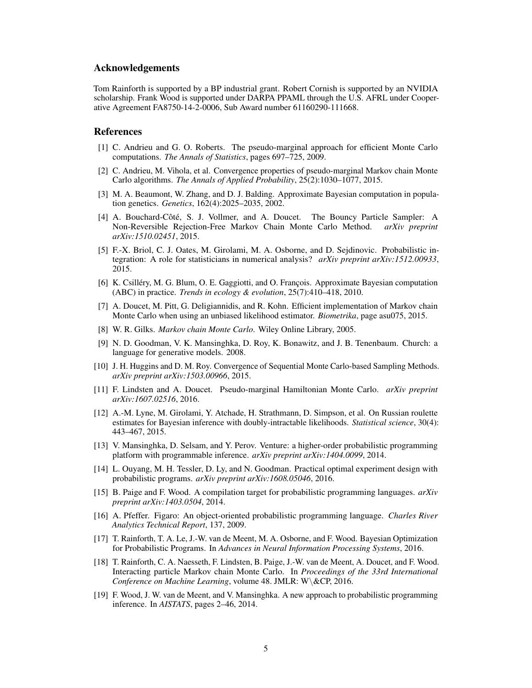#### Acknowledgements

Tom Rainforth is supported by a BP industrial grant. Robert Cornish is supported by an NVIDIA scholarship. Frank Wood is supported under DARPA PPAML through the U.S. AFRL under Cooperative Agreement FA8750-14-2-0006, Sub Award number 61160290-111668.

#### References

- [1] C. Andrieu and G. O. Roberts. The pseudo-marginal approach for efficient Monte Carlo computations. *The Annals of Statistics*, pages 697–725, 2009.
- [2] C. Andrieu, M. Vihola, et al. Convergence properties of pseudo-marginal Markov chain Monte Carlo algorithms. *The Annals of Applied Probability*, 25(2):1030–1077, 2015.
- [3] M. A. Beaumont, W. Zhang, and D. J. Balding. Approximate Bayesian computation in population genetics. *Genetics*, 162(4):2025–2035, 2002.
- [4] A. Bouchard-Côté, S. J. Vollmer, and A. Doucet. The Bouncy Particle Sampler: A Non-Reversible Rejection-Free Markov Chain Monte Carlo Method. *arXiv preprint arXiv:1510.02451*, 2015.
- [5] F.-X. Briol, C. J. Oates, M. Girolami, M. A. Osborne, and D. Sejdinovic. Probabilistic integration: A role for statisticians in numerical analysis? *arXiv preprint arXiv:1512.00933*, 2015.
- [6] K. Csilléry, M. G. Blum, O. E. Gaggiotti, and O. François. Approximate Bayesian computation (ABC) in practice. *Trends in ecology & evolution*, 25(7):410–418, 2010.
- [7] A. Doucet, M. Pitt, G. Deligiannidis, and R. Kohn. Efficient implementation of Markov chain Monte Carlo when using an unbiased likelihood estimator. *Biometrika*, page asu075, 2015.
- [8] W. R. Gilks. *Markov chain Monte Carlo*. Wiley Online Library, 2005.
- [9] N. D. Goodman, V. K. Mansinghka, D. Roy, K. Bonawitz, and J. B. Tenenbaum. Church: a language for generative models. 2008.
- [10] J. H. Huggins and D. M. Roy. Convergence of Sequential Monte Carlo-based Sampling Methods. *arXiv preprint arXiv:1503.00966*, 2015.
- [11] F. Lindsten and A. Doucet. Pseudo-marginal Hamiltonian Monte Carlo. *arXiv preprint arXiv:1607.02516*, 2016.
- [12] A.-M. Lyne, M. Girolami, Y. Atchade, H. Strathmann, D. Simpson, et al. On Russian roulette estimates for Bayesian inference with doubly-intractable likelihoods. *Statistical science*, 30(4): 443–467, 2015.
- [13] V. Mansinghka, D. Selsam, and Y. Perov. Venture: a higher-order probabilistic programming platform with programmable inference. *arXiv preprint arXiv:1404.0099*, 2014.
- [14] L. Ouyang, M. H. Tessler, D. Ly, and N. Goodman. Practical optimal experiment design with probabilistic programs. *arXiv preprint arXiv:1608.05046*, 2016.
- [15] B. Paige and F. Wood. A compilation target for probabilistic programming languages. *arXiv preprint arXiv:1403.0504*, 2014.
- [16] A. Pfeffer. Figaro: An object-oriented probabilistic programming language. *Charles River Analytics Technical Report*, 137, 2009.
- [17] T. Rainforth, T. A. Le, J.-W. van de Meent, M. A. Osborne, and F. Wood. Bayesian Optimization for Probabilistic Programs. In *Advances in Neural Information Processing Systems*, 2016.
- [18] T. Rainforth, C. A. Naesseth, F. Lindsten, B. Paige, J.-W. van de Meent, A. Doucet, and F. Wood. Interacting particle Markov chain Monte Carlo. In *Proceedings of the 33rd International Conference on Machine Learning*, volume 48. JMLR: W\&CP, 2016.
- [19] F. Wood, J. W. van de Meent, and V. Mansinghka. A new approach to probabilistic programming inference. In *AISTATS*, pages 2–46, 2014.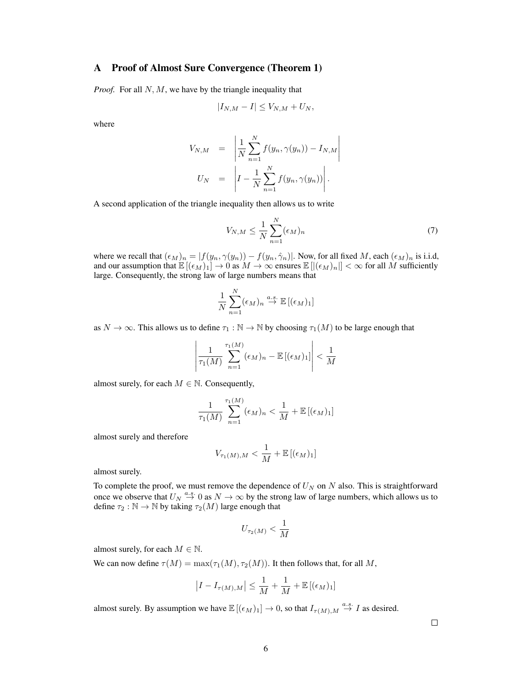# A Proof of Almost Sure Convergence (Theorem 1)

*Proof.* For all N, M, we have by the triangle inequality that

$$
|I_{N,M}-I|\leq V_{N,M}+U_N,
$$

where

$$
V_{N,M} = \left| \frac{1}{N} \sum_{n=1}^{N} f(y_n, \gamma(y_n)) - I_{N,M} \right|
$$
  

$$
U_N = \left| I - \frac{1}{N} \sum_{n=1}^{N} f(y_n, \gamma(y_n)) \right|.
$$

A second application of the triangle inequality then allows us to write

$$
V_{N,M} \leq \frac{1}{N} \sum_{n=1}^{N} (\epsilon_M)_n \tag{7}
$$

where we recall that  $(\epsilon_M)_n = |f(y_n, \gamma(y_n)) - f(y_n, \hat{\gamma}_n)|$ . Now, for all fixed M, each  $(\epsilon_M)_n$  is i.i.d, and our assumption that  $\mathbb{E}[(\epsilon_M)_1] \to 0$  as  $M \to \infty$  ensures  $\mathbb{E}[(\epsilon_M)_n]| < \infty$  for all M sufficiently large. Consequently, the strong law of large numbers means that

$$
\frac{1}{N}\sum_{n=1}^N(\epsilon_M)_n\stackrel{a.s.}{\to}\mathbb{E}\left[(\epsilon_M)_1\right]
$$

as  $N \to \infty$ . This allows us to define  $\tau_1 : \mathbb{N} \to \mathbb{N}$  by choosing  $\tau_1(M)$  to be large enough that

$$
\left|\frac{1}{\tau_1(M)}\sum_{n=1}^{\tau_1(M)}(\epsilon_M)_n - \mathbb{E}\left[(\epsilon_M)_1\right]\right| < \frac{1}{M}
$$

almost surely, for each  $M \in \mathbb{N}$ . Consequently,

$$
\frac{1}{\tau_1(M)}\sum_{n=1}^{\tau_1(M)}(\epsilon_M)_n < \frac{1}{M} + \mathbb{E}\left[(\epsilon_M)_1\right]
$$

almost surely and therefore

$$
V_{\tau_1(M),M} < \frac{1}{M} + \mathbb{E}\left[ (\epsilon_M)_1 \right]
$$

almost surely.

To complete the proof, we must remove the dependence of  $U_N$  on N also. This is straightforward once we observe that  $U_N \stackrel{a.s.}{\rightarrow} 0$  as  $N \rightarrow \infty$  by the strong law of large numbers, which allows us to define  $\tau_2 : \mathbb{N} \to \mathbb{N}$  by taking  $\tau_2(M)$  large enough that

$$
U_{\tau_2(M)} < \frac{1}{M}
$$

almost surely, for each  $M \in \mathbb{N}$ .

We can now define  $\tau(M) = \max(\tau_1(M), \tau_2(M))$ . It then follows that, for all M,

$$
|I - I_{\tau(M),M}| \leq \frac{1}{M} + \frac{1}{M} + \mathbb{E}[(\epsilon_M)_1]
$$

almost surely. By assumption we have  $\mathbb{E}[(\epsilon_M)_1] \to 0$ , so that  $I_{\tau(M),M} \stackrel{a.s.}{\to} I$  as desired.

 $\Box$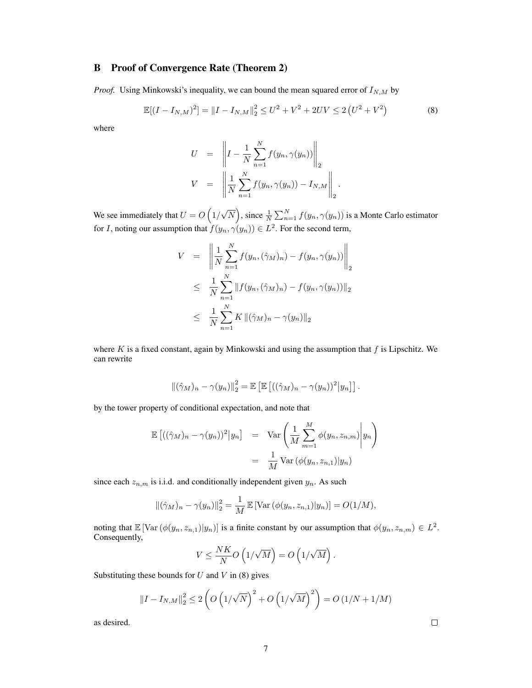# B Proof of Convergence Rate (Theorem 2)

*Proof.* Using Minkowski's inequality, we can bound the mean squared error of  $I_{N,M}$  by

$$
\mathbb{E}[(I - I_{N,M})^2] = ||I - I_{N,M}||_2^2 \le U^2 + V^2 + 2UV \le 2(U^2 + V^2)
$$
 (8)

where

$$
U = \|I - \frac{1}{N} \sum_{n=1}^{N} f(y_n, \gamma(y_n))\|_2
$$
  

$$
V = \left\|\frac{1}{N} \sum_{n=1}^{N} f(y_n, \gamma(y_n)) - I_{N,M}\right\|_2.
$$

We see immediately that  $U = O(1)$ √  $\overline{N}$ ), since  $\frac{1}{N}\sum_{n=1}^{N}f(y_n,\gamma(y_n))$  is a Monte Carlo estimator for *I*, noting our assumption that  $f(y_n, \gamma(y_n)) \in L^2$ . For the second term,

$$
V = \left\| \frac{1}{N} \sum_{n=1}^{N} f(y_n, (\hat{\gamma}_M)_n) - f(y_n, \gamma(y_n)) \right\|_2
$$
  

$$
\leq \frac{1}{N} \sum_{n=1}^{N} \| f(y_n, (\hat{\gamma}_M)_n) - f(y_n, \gamma(y_n)) \|_2
$$
  

$$
\leq \frac{1}{N} \sum_{n=1}^{N} K \| (\hat{\gamma}_M)_n - \gamma(y_n) \|_2
$$

where  $K$  is a fixed constant, again by Minkowski and using the assumption that  $f$  is Lipschitz. We can rewrite

$$
\left\|(\hat{\gamma}_M)_n - \gamma(y_n)\right\|_2^2 = \mathbb{E}\left[\mathbb{E}\left[\left((\hat{\gamma}_M)_n - \gamma(y_n)\right)^2\middle|y_n\right]\right].
$$

by the tower property of conditional expectation, and note that

$$
\mathbb{E}\left[((\hat{\gamma}_M)_n - \gamma(y_n))^2 | y_n\right] = \text{Var}\left(\frac{1}{M} \sum_{m=1}^M \phi(y_n, z_{n,m}) | y_n\right)
$$

$$
= \frac{1}{M} \text{Var}\left(\phi(y_n, z_{n,1}) | y_n\right)
$$

since each  $z_{n,m}$  is i.i.d. and conditionally independent given  $y_n$ . As such

$$
\|(\hat{\gamma}_M)_n - \gamma(y_n)\|_2^2 = \frac{1}{M} \mathbb{E} [\text{Var}(\phi(y_n, z_{n,1})|y_n)] = O(1/M),
$$

noting that  $\mathbb{E} [\text{Var}(\phi(y_n, z_{n,1}) | y_n)]$  is a finite constant by our assumption that  $\phi(y_n, z_{n,m}) \in L^2$ . Consequently,

$$
V \leq \frac{NK}{N}O\left(1/\sqrt{M}\right) = O\left(1/\sqrt{M}\right).
$$

Substituting these bounds for  $U$  and  $V$  in (8) gives

 $||I - I_{N,M}||_2^2 \leq 2 \left( O\left(1 \right) \right)$ √  $\overline{N}$ <sup>2</sup> + O (1/ √  $\overline{M}$ )<sup>2</sup>) =  $O(1/N + 1/M)$ 

as desired.